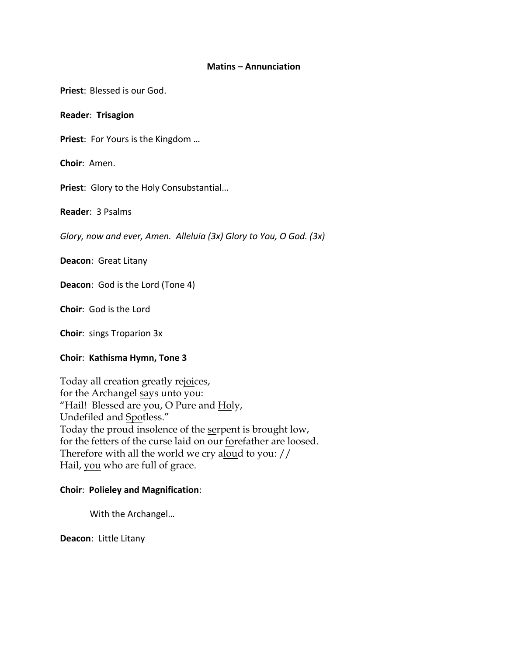### **Matins – Annunciation**

**Priest**: Blessed is our God.

### **Reader**: **Trisagion**

**Priest**: For Yours is the Kingdom …

**Choir**: Amen.

**Priest**: Glory to the Holy Consubstantial…

**Reader**: 3 Psalms

*Glory, now and ever, Amen. Alleluia (3x) Glory to You, O God. (3x)*

**Deacon**: Great Litany

**Deacon**: God is the Lord (Tone 4)

**Choir**: God is the Lord

**Choir**: sings Troparion 3x

## **Choir**: **Kathisma Hymn, Tone 3**

Today all creation greatly rejoices, for the Archangel says unto you: "Hail! Blessed are you, O Pure and Holy, Undefiled and Spotless." Today the proud insolence of the serpent is brought low, for the fetters of the curse laid on our forefather are loosed. Therefore with all the world we cry aloud to you: // Hail, you who are full of grace.

## **Choir**: **Polieley and Magnification**:

With the Archangel…

**Deacon**: Little Litany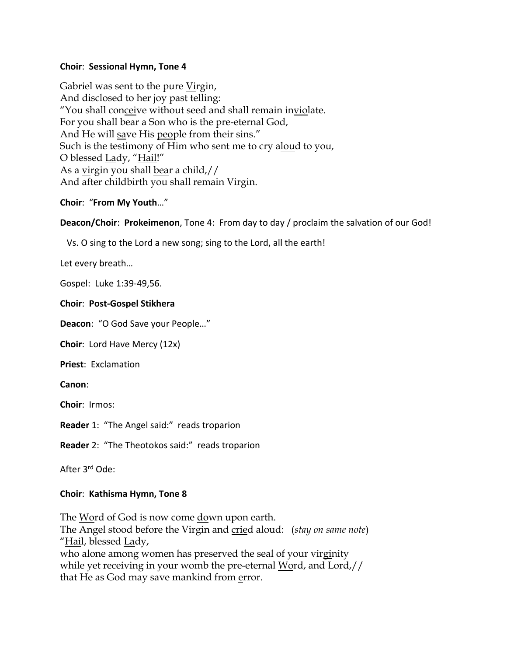# **Choir**: **Sessional Hymn, Tone 4**

Gabriel was sent to the pure Virgin, And disclosed to her joy past telling: "You shall conceive without seed and shall remain inviolate. For you shall bear a Son who is the pre-eternal God, And He will save His people from their sins." Such is the testimony of Him who sent me to cry aloud to you, O blessed Lady, "Hail!" As a virgin you shall bear a child,// And after childbirth you shall remain Virgin.

**Choir**: "**From My Youth**…"

**Deacon/Choir**: **Prokeimenon**, Tone 4: From day to day / proclaim the salvation of our God!

Vs. O sing to the Lord a new song; sing to the Lord, all the earth!

Let every breath…

Gospel: Luke 1:39-49,56.

## **Choir**: **Post-Gospel Stikhera**

**Deacon**: "O God Save your People…"

**Choir**: Lord Have Mercy (12x)

**Priest**: Exclamation

**Canon**:

**Choir**: Irmos:

**Reader** 1: "The Angel said:" reads troparion

**Reader** 2: "The Theotokos said:" reads troparion

After 3rd Ode:

# **Choir**: **Kathisma Hymn, Tone 8**

The Word of God is now come down upon earth. The Angel stood before the Virgin and cried aloud: (*stay on same note*) "Hail, blessed Lady, who alone among women has preserved the seal of your virginity while yet receiving in your womb the pre-eternal Word, and Lord,// that He as God may save mankind from error.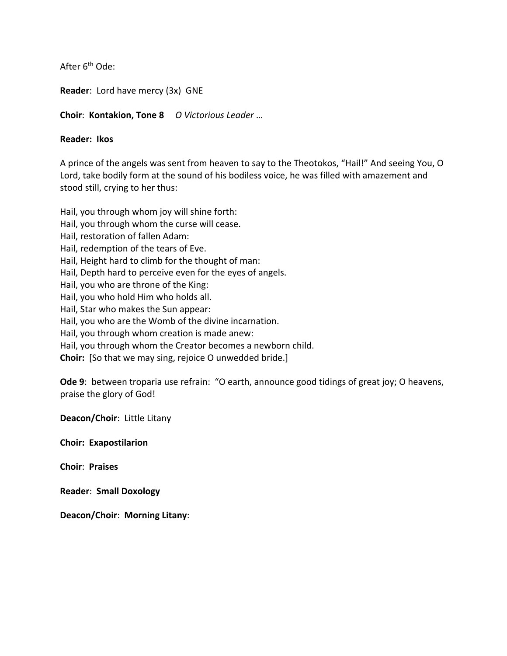After 6<sup>th</sup> Ode:

**Reader**: Lord have mercy (3x) GNE

**Choir**: **Kontakion, Tone 8** *O Victorious Leader* …

## **Reader: Ikos**

A prince of the angels was sent from heaven to say to the Theotokos, "Hail!" And seeing You, O Lord, take bodily form at the sound of his bodiless voice, he was filled with amazement and stood still, crying to her thus:

Hail, you through whom joy will shine forth: Hail, you through whom the curse will cease. Hail, restoration of fallen Adam: Hail, redemption of the tears of Eve. Hail, Height hard to climb for the thought of man: Hail, Depth hard to perceive even for the eyes of angels. Hail, you who are throne of the King: Hail, you who hold Him who holds all. Hail, Star who makes the Sun appear: Hail, you who are the Womb of the divine incarnation. Hail, you through whom creation is made anew: Hail, you through whom the Creator becomes a newborn child. **Choir:** [So that we may sing, rejoice O unwedded bride.]

**Ode 9**: between troparia use refrain: "O earth, announce good tidings of great joy; O heavens, praise the glory of God!

**Deacon/Choir**: Little Litany

**Choir: Exapostilarion**

**Choir**: **Praises**

**Reader**: **Small Doxology**

**Deacon/Choir**: **Morning Litany**: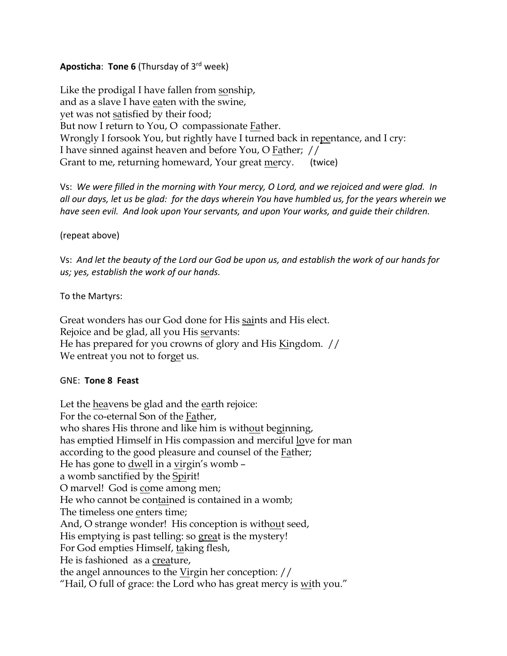# **Aposticha**: **Tone 6** (Thursday of 3rd week)

Like the prodigal I have fallen from sonship, and as a slave I have eaten with the swine, yet was not satisfied by their food; But now I return to You, O compassionate Father. Wrongly I forsook You, but rightly have I turned back in repentance, and I cry: I have sinned against heaven and before You, O Father; // Grant to me, returning homeward, Your great mercy. (twice)

Vs: *We were filled in the morning with Your mercy, O Lord, and we rejoiced and were glad. In all our days, let us be glad: for the days wherein You have humbled us, for the years wherein we have seen evil. And look upon Your servants, and upon Your works, and guide their children.*

(repeat above)

Vs: *And let the beauty of the Lord our God be upon us, and establish the work of our hands for us; yes, establish the work of our hands.*

To the Martyrs:

Great wonders has our God done for His saints and His elect. Rejoice and be glad, all you His servants: He has prepared for you crowns of glory and His Kingdom. // We entreat you not to forget us.

## GNE: **Tone 8 Feast**

Let the heavens be glad and the earth rejoice: For the co-eternal Son of the Father, who shares His throne and like him is without beginning, has emptied Himself in His compassion and merciful love for man according to the good pleasure and counsel of the Father; He has gone to <u>dwell</u> in a virgin's womb a womb sanctified by the Spirit! O marvel! God is come among men; He who cannot be contained is contained in a womb; The timeless one enters time; And, O strange wonder! His conception is without seed, His emptying is past telling: so great is the mystery! For God empties Himself, taking flesh, He is fashioned as a creature, the angel announces to the Virgin her conception: // "Hail, O full of grace: the Lord who has great mercy is with you."